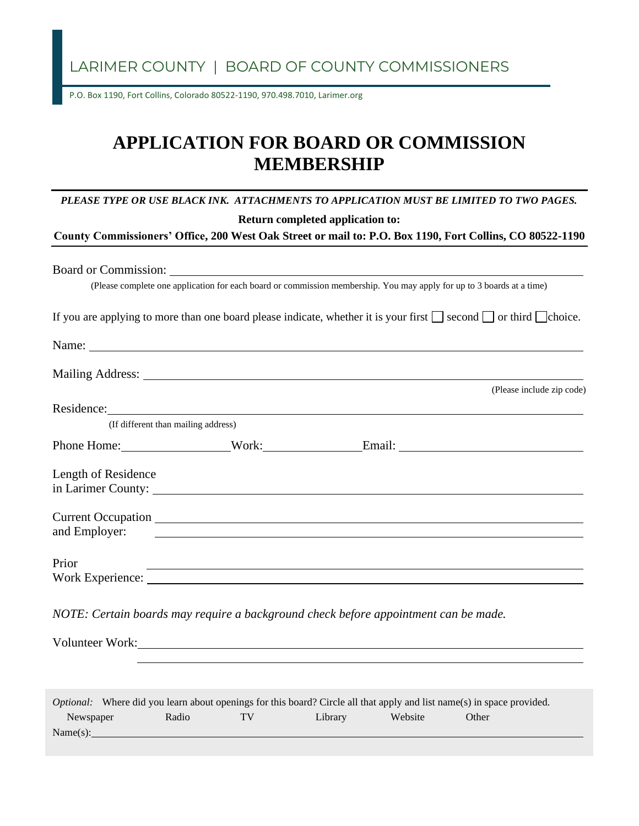LARIMER COUNTY | BOARD OF COUNTY COMMISSIONERS

P.O. Box 1190, Fort Collins, Colorado 80522-1190, 970.498.7010, Larimer.org

## **APPLICATION FOR BOARD OR COMMISSION MEMBERSHIP**

|                                     |                                                    | PLEASE TYPE OR USE BLACK INK. ATTACHMENTS TO APPLICATION MUST BE LIMITED TO TWO PAGES.                                                                                                                                         |                           |
|-------------------------------------|----------------------------------------------------|--------------------------------------------------------------------------------------------------------------------------------------------------------------------------------------------------------------------------------|---------------------------|
|                                     |                                                    | Return completed application to:                                                                                                                                                                                               |                           |
|                                     |                                                    | County Commissioners' Office, 200 West Oak Street or mail to: P.O. Box 1190, Fort Collins, CO 80522-1190                                                                                                                       |                           |
|                                     |                                                    |                                                                                                                                                                                                                                |                           |
|                                     |                                                    | Board or Commission: Lawrence and Commission:                                                                                                                                                                                  |                           |
|                                     |                                                    | (Please complete one application for each board or commission membership. You may apply for up to 3 boards at a time)                                                                                                          |                           |
|                                     |                                                    | If you are applying to more than one board please indicate, whether it is your first $\Box$ second $\Box$ or third $\Box$ choice.                                                                                              |                           |
|                                     |                                                    |                                                                                                                                                                                                                                |                           |
|                                     |                                                    |                                                                                                                                                                                                                                |                           |
|                                     |                                                    |                                                                                                                                                                                                                                | (Please include zip code) |
|                                     |                                                    | Residence: New York Changes and Changes and Changes and Changes and Changes and Changes and Changes and Changes and Changes and Changes and Changes and Changes and Changes and Changes and Changes and Changes and Changes an |                           |
| (If different than mailing address) |                                                    |                                                                                                                                                                                                                                |                           |
|                                     |                                                    | Phone Home: Work: Email: University Contract Email:                                                                                                                                                                            |                           |
| Length of Residence                 |                                                    |                                                                                                                                                                                                                                |                           |
|                                     |                                                    | in Larimer County: 1988. The County of the County of the County of the County of the County of the County of the County of the County of the County of the County of the County of the County of the County of the County of t |                           |
|                                     |                                                    |                                                                                                                                                                                                                                |                           |
| and Employer:                       | <u> 1989 - Johann John Stein, markin fizikar (</u> |                                                                                                                                                                                                                                |                           |
| Prior                               |                                                    | ,我们也不会有什么。""我们的人,我们也不会有什么?""我们的人,我们也不会有什么?""我们的人,我们也不会有什么?""我们的人,我们也不会有什么?""我们的人                                                                                                                                               |                           |
|                                     |                                                    | Work Experience:                                                                                                                                                                                                               |                           |
|                                     |                                                    | NOTE: Certain boards may require a background check before appointment can be made.                                                                                                                                            |                           |
|                                     |                                                    | Volunteer Work:                                                                                                                                                                                                                |                           |
|                                     |                                                    |                                                                                                                                                                                                                                |                           |
|                                     |                                                    |                                                                                                                                                                                                                                |                           |

|           | <i>Optional:</i> Where did you learn about openings for this board? Circle all that apply and list name(s) in space provided. |       |    |         |         |       |  |  |
|-----------|-------------------------------------------------------------------------------------------------------------------------------|-------|----|---------|---------|-------|--|--|
| Newspaper |                                                                                                                               | Radio | TV | Library | Website | Other |  |  |
| Name(s):  |                                                                                                                               |       |    |         |         |       |  |  |
|           |                                                                                                                               |       |    |         |         |       |  |  |